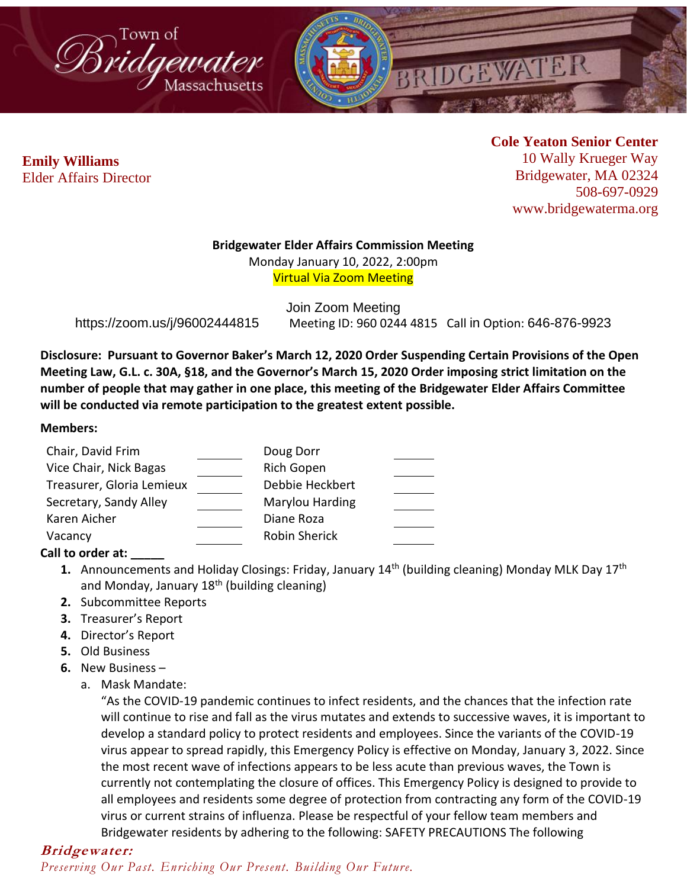



**Cole Yeaton Senior Center** 10 Wally Krueger Way Bridgewater, MA 02324 508-697-0929 www.bridgewaterma.org

#### **Bridgewater Elder Affairs Commission Meeting**

Monday January 10, 2022, 2:00pm Virtual Via Zoom Meeting

Join Zoom Meeting https://zoom.us/j/96002444815 Meeting ID: 960 0244 4815 Call in Option: 646-876-9923

**Disclosure: Pursuant to Governor Baker's March 12, 2020 Order Suspending Certain Provisions of the Open Meeting Law, G.L. c. 30A, §18, and the Governor's March 15, 2020 Order imposing strict limitation on the number of people that may gather in one place, this meeting of the Bridgewater Elder Affairs Committee will be conducted via remote participation to the greatest extent possible.** 

#### **Members:**

| Chair, David Frim         | Doug Dorr            |  |
|---------------------------|----------------------|--|
| Vice Chair, Nick Bagas    | <b>Rich Gopen</b>    |  |
| Treasurer, Gloria Lemieux | Debbie Heckbert      |  |
| Secretary, Sandy Alley    | Marylou Harding      |  |
| Karen Aicher              | Diane Roza           |  |
| Vacancy                   | <b>Robin Sherick</b> |  |
|                           |                      |  |

### **Call to order at: \_\_\_\_\_**

- **1.** Announcements and Holiday Closings: Friday, January 14<sup>th</sup> (building cleaning) Monday MLK Day 17<sup>th</sup> and Monday, January  $18<sup>th</sup>$  (building cleaning)
- **2.** Subcommittee Reports
- **3.** Treasurer's Report
- **4.** Director's Report
- **5.** Old Business
- **6.** New Business
	- a. Mask Mandate:

"As the COVID-19 pandemic continues to infect residents, and the chances that the infection rate will continue to rise and fall as the virus mutates and extends to successive waves, it is important to develop a standard policy to protect residents and employees. Since the variants of the COVID-19 virus appear to spread rapidly, this Emergency Policy is effective on Monday, January 3, 2022. Since the most recent wave of infections appears to be less acute than previous waves, the Town is currently not contemplating the closure of offices. This Emergency Policy is designed to provide to all employees and residents some degree of protection from contracting any form of the COVID-19 virus or current strains of influenza. Please be respectful of your fellow team members and Bridgewater residents by adhering to the following: SAFETY PRECAUTIONS The following

### **Bridgewater:**

*Preserving Our Past. Enriching Our Present. Building Our Future.*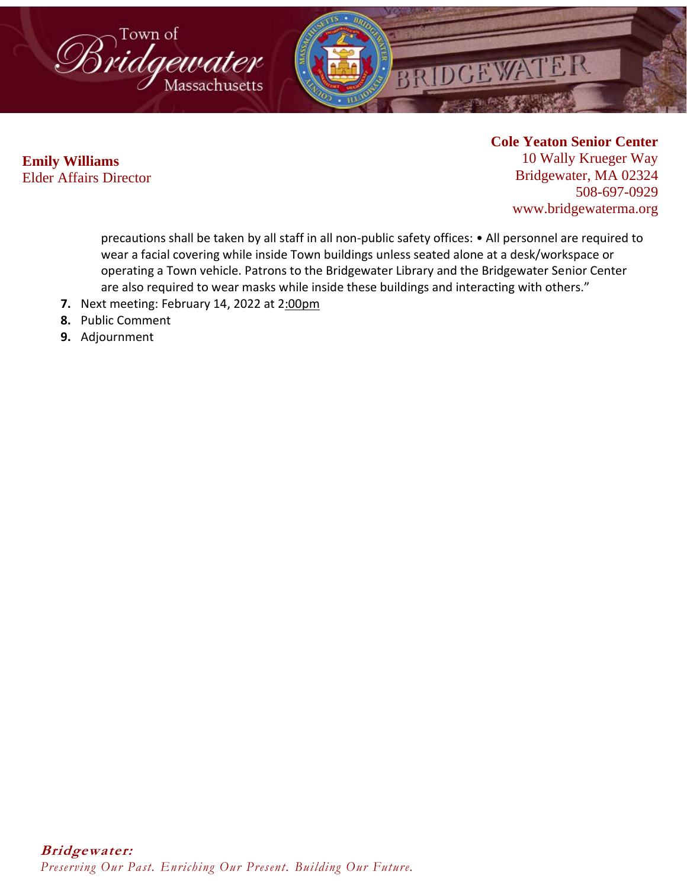

## **Cole Yeaton Senior Center**

10 Wally Krueger Way Bridgewater, MA 02324 508-697-0929 www.bridgewaterma.org

precautions shall be taken by all staff in all non-public safety offices: • All personnel are required to wear a facial covering while inside Town buildings unless seated alone at a desk/workspace or operating a Town vehicle. Patrons to the Bridgewater Library and the Bridgewater Senior Center are also required to wear masks while inside these buildings and interacting with others."

- **7.** Next meeting: February 14, 2022 at 2:00pm
- **8.** Public Comment
- **9.** Adjournment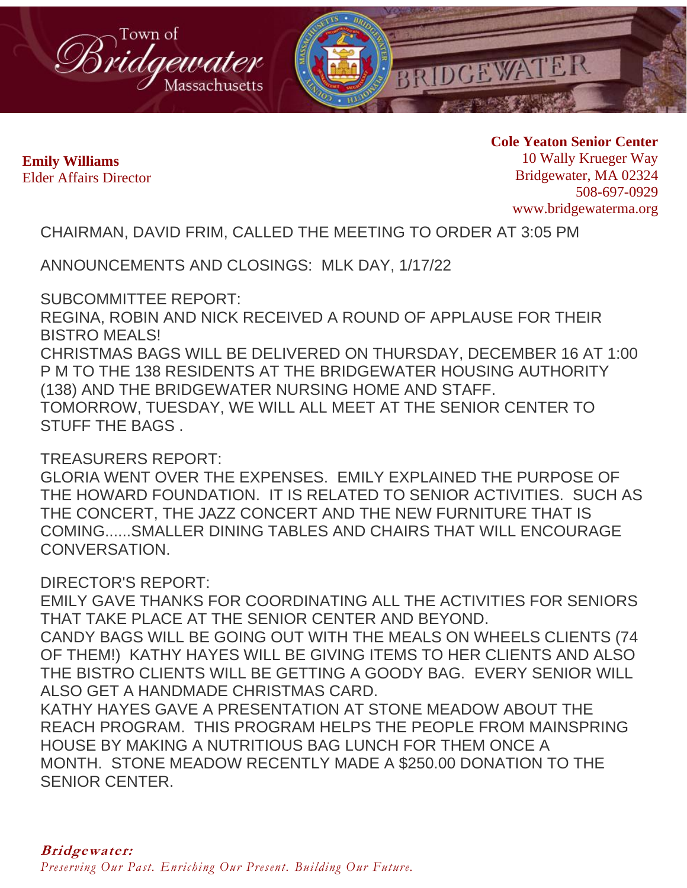

**Cole Yeaton Senior Center** 10 Wally Krueger Way Bridgewater, MA 02324 508-697-0929 www.bridgewaterma.org

CHAIRMAN, DAVID FRIM, CALLED THE MEETING TO ORDER AT 3:05 PM

ANNOUNCEMENTS AND CLOSINGS: MLK DAY, 1/17/22

SUBCOMMITTEE REPORT:

REGINA, ROBIN AND NICK RECEIVED A ROUND OF APPLAUSE FOR THEIR BISTRO MEALS! CHRISTMAS BAGS WILL BE DELIVERED ON THURSDAY, DECEMBER 16 AT 1:00

P M TO THE 138 RESIDENTS AT THE BRIDGEWATER HOUSING AUTHORITY (138) AND THE BRIDGEWATER NURSING HOME AND STAFF. TOMORROW, TUESDAY, WE WILL ALL MEET AT THE SENIOR CENTER TO

STUFF THE BAGS .

TREASURERS REPORT:

GLORIA WENT OVER THE EXPENSES. EMILY EXPLAINED THE PURPOSE OF THE HOWARD FOUNDATION. IT IS RELATED TO SENIOR ACTIVITIES. SUCH AS THE CONCERT, THE JAZZ CONCERT AND THE NEW FURNITURE THAT IS COMING......SMALLER DINING TABLES AND CHAIRS THAT WILL ENCOURAGE CONVERSATION.

DIRECTOR'S REPORT:

EMILY GAVE THANKS FOR COORDINATING ALL THE ACTIVITIES FOR SENIORS THAT TAKE PLACE AT THE SENIOR CENTER AND BEYOND.

CANDY BAGS WILL BE GOING OUT WITH THE MEALS ON WHEELS CLIENTS (74 OF THEM!) KATHY HAYES WILL BE GIVING ITEMS TO HER CLIENTS AND ALSO THE BISTRO CLIENTS WILL BE GETTING A GOODY BAG. EVERY SENIOR WILL ALSO GET A HANDMADE CHRISTMAS CARD.

KATHY HAYES GAVE A PRESENTATION AT STONE MEADOW ABOUT THE REACH PROGRAM. THIS PROGRAM HELPS THE PEOPLE FROM MAINSPRING HOUSE BY MAKING A NUTRITIOUS BAG LUNCH FOR THEM ONCE A MONTH. STONE MEADOW RECENTLY MADE A \$250.00 DONATION TO THE SENIOR CENTER.

*Preserving Our Past. Enriching Our Present. Building Our Future.*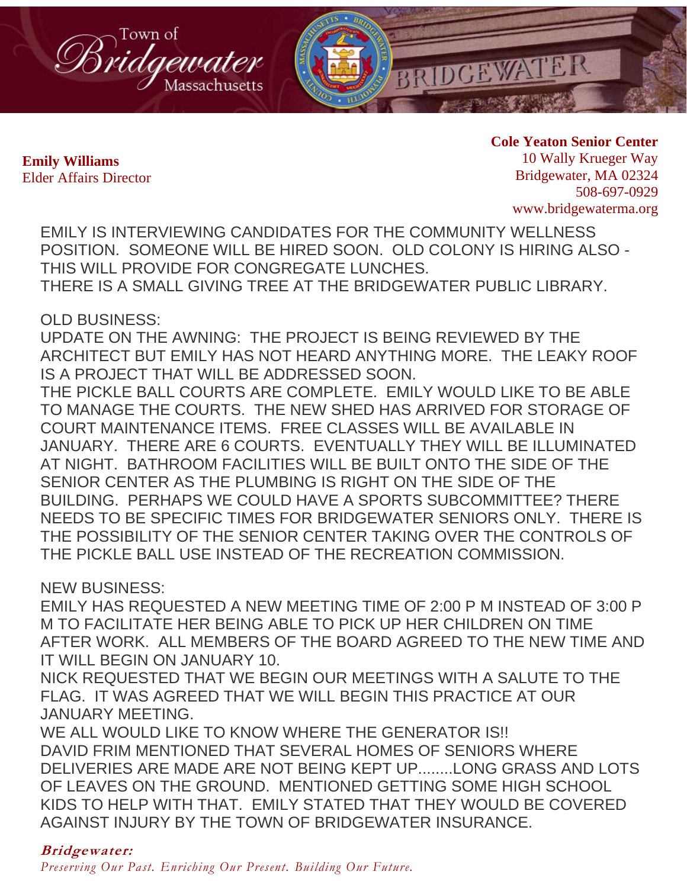

**Cole Yeaton Senior Center** 10 Wally Krueger Way Bridgewater, MA 02324 508-697-0929 www.bridgewaterma.org

EMILY IS INTERVIEWING CANDIDATES FOR THE COMMUNITY WELLNESS POSITION. SOMEONE WILL BE HIRED SOON. OLD COLONY IS HIRING ALSO - THIS WILL PROVIDE FOR CONGREGATE LUNCHES. THERE IS A SMALL GIVING TREE AT THE BRIDGEWATER PUBLIC LIBRARY.

OLD BUSINESS:

UPDATE ON THE AWNING: THE PROJECT IS BEING REVIEWED BY THE ARCHITECT BUT EMILY HAS NOT HEARD ANYTHING MORE. THE LEAKY ROOF IS A PROJECT THAT WILL BE ADDRESSED SOON.

THE PICKLE BALL COURTS ARE COMPLETE. EMILY WOULD LIKE TO BE ABLE TO MANAGE THE COURTS. THE NEW SHED HAS ARRIVED FOR STORAGE OF COURT MAINTENANCE ITEMS. FREE CLASSES WILL BE AVAILABLE IN JANUARY. THERE ARE 6 COURTS. EVENTUALLY THEY WILL BE ILLUMINATED AT NIGHT. BATHROOM FACILITIES WILL BE BUILT ONTO THE SIDE OF THE SENIOR CENTER AS THE PLUMBING IS RIGHT ON THE SIDE OF THE BUILDING. PERHAPS WE COULD HAVE A SPORTS SUBCOMMITTEE? THERE NEEDS TO BE SPECIFIC TIMES FOR BRIDGEWATER SENIORS ONLY. THERE IS THE POSSIBILITY OF THE SENIOR CENTER TAKING OVER THE CONTROLS OF THE PICKLE BALL USE INSTEAD OF THE RECREATION COMMISSION.

NEW BUSINESS:

EMILY HAS REQUESTED A NEW MEETING TIME OF 2:00 P M INSTEAD OF 3:00 P M TO FACILITATE HER BEING ABLE TO PICK UP HER CHILDREN ON TIME AFTER WORK. ALL MEMBERS OF THE BOARD AGREED TO THE NEW TIME AND IT WILL BEGIN ON JANUARY 10.

NICK REQUESTED THAT WE BEGIN OUR MEETINGS WITH A SALUTE TO THE FLAG. IT WAS AGREED THAT WE WILL BEGIN THIS PRACTICE AT OUR JANUARY MEETING.

WE ALL WOULD LIKE TO KNOW WHERE THE GENERATOR IS!! DAVID FRIM MENTIONED THAT SEVERAL HOMES OF SENIORS WHERE DELIVERIES ARE MADE ARE NOT BEING KEPT UP........LONG GRASS AND LOTS OF LEAVES ON THE GROUND. MENTIONED GETTING SOME HIGH SCHOOL KIDS TO HELP WITH THAT. EMILY STATED THAT THEY WOULD BE COVERED AGAINST INJURY BY THE TOWN OF BRIDGEWATER INSURANCE.

# **Bridgewater:**

*Preserving Our Past. Enriching Our Present. Building Our Future.*